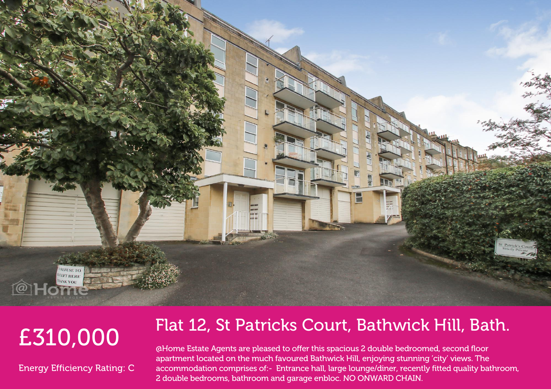

# £310,000

Energy Efficiency Rating: C

## Flat 12, St Patricks Court, Bathwick Hill, Bath.

@Home Estate Agents are pleased to offer this spacious 2 double bedroomed, second floor apartment located on the much favoured Bathwick Hill, enjoying stunning 'city' views. The accommodation comprises of:- Entrance hall, large lounge/diner, recently fitted quality bathroom, 2 double bedrooms, bathroom and garage enbloc. NO ONWARD CHAIN.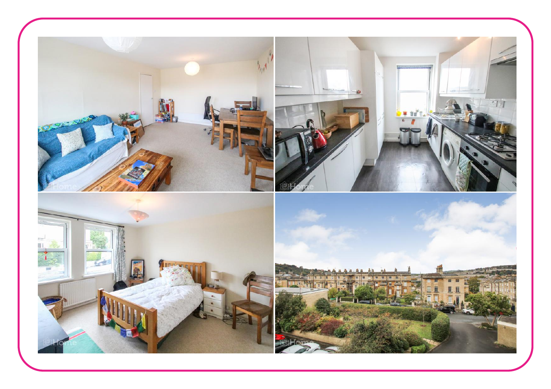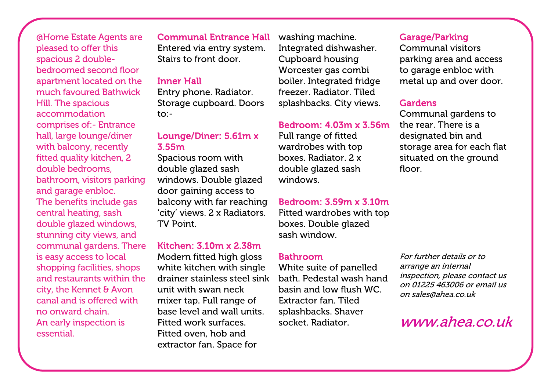@Home Estate Agents are pleased to offer this spacious 2 doublebedroomed second floor apartment located on the much favoured Bathwick Hill. The spacious accommodation comprises of:- Entrance hall, large lounge/diner with balcony, recently fitted quality kitchen, 2 double bedrooms, bathroom, visitors parking and garage enbloc. The benefits include gas central heating, sash double glazed windows, stunning city views, and communal gardens. There is easy access to local shopping facilities, shops and restaurants within the city, the Kennet & Avon canal and is offered with no onward chain. An early inspection is essential.

Communal Entrance Hall Entered via entry system. Stairs to front door.

#### Inner Hall

Entry phone. Radiator. Storage cupboard. Doors to:-

#### Lounge/Diner: 5.61m x 3.55m

Spacious room with double glazed sash windows. Double glazed door gaining access to balcony with far reaching 'city' views. 2 x Radiators. TV Point.

#### Kitchen: 3.10m x 2.38m

Modern fitted high gloss white kitchen with single drainer stainless steel sink unit with swan neck mixer tap. Full range of base level and wall units. Fitted work surfaces. Fitted oven, hob and extractor fan. Space for

washing machine. Integrated dishwasher. Cupboard housing Worcester gas combi boiler. Integrated fridge freezer. Radiator. Tiled splashbacks. City views.

#### Bedroom: 4.03m x 3.56m

Full range of fitted wardrobes with top boxes. Radiator. 2 x double glazed sash windows.

#### Bedroom: 3.59m x 3.10m

Fitted wardrobes with top boxes. Double glazed sash window.

#### Bathroom

White suite of panelled bath. Pedestal wash hand basin and low flush WC. Extractor fan. Tiled splashbacks. Shaver socket. Radiator.

#### Garage/Parking

Communal visitors parking area and access to garage enbloc with metal up and over door.

#### Gardens

Communal gardens to the rear. There is a designated bin and storage area for each flat situated on the ground floor.

For further details or to arrange an internal inspection, please contact us on 01225 463006 or email us on sales@ahea.co.uk

### www.ahea.co.uk